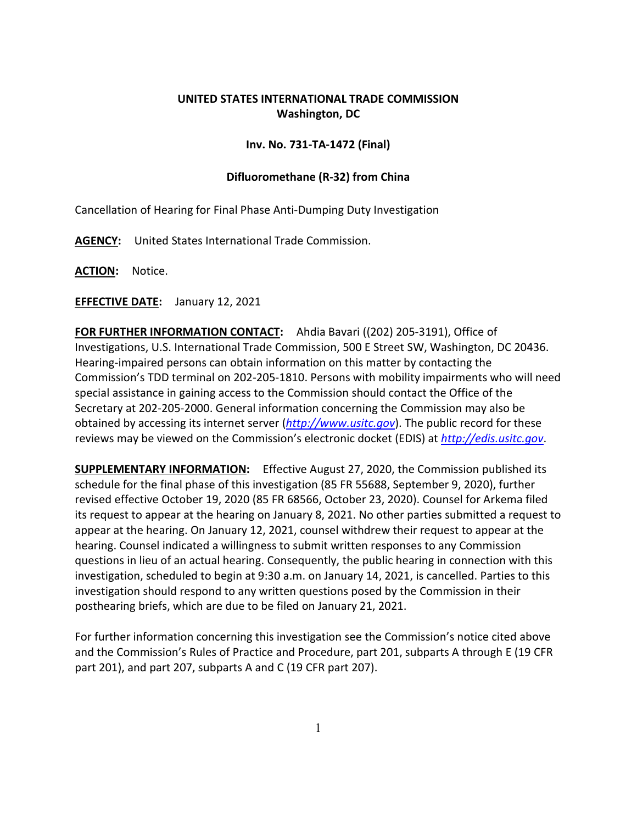## **UNITED STATES INTERNATIONAL TRADE COMMISSION Washington, DC**

## **Inv. No. 731-TA-1472 (Final)**

## **Difluoromethane (R-32) from China**

Cancellation of Hearing for Final Phase Anti-Dumping Duty Investigation

**AGENCY:** United States International Trade Commission.

**ACTION:** Notice.

**EFFECTIVE DATE:** January 12, 2021

**FOR FURTHER INFORMATION CONTACT:** Ahdia Bavari ((202) 205-3191), Office of Investigations, U.S. International Trade Commission, 500 E Street SW, Washington, DC 20436. Hearing-impaired persons can obtain information on this matter by contacting the Commission's TDD terminal on 202-205-1810. Persons with mobility impairments who will need special assistance in gaining access to the Commission should contact the Office of the Secretary at 202-205-2000. General information concerning the Commission may also be obtained by accessing its internet server (*[http://www.usitc.gov](http://www.usitc.gov/)*). The public record for these reviews may be viewed on the Commission's electronic docket (EDIS) at *[http://edis.usitc.gov](http://edis.usitc.gov/)*.

**SUPPLEMENTARY INFORMATION:** Effective August 27, 2020, the Commission published its schedule for the final phase of this investigation (85 FR 55688, September 9, 2020), further revised effective October 19, 2020 (85 FR 68566, October 23, 2020). Counsel for Arkema filed its request to appear at the hearing on January 8, 2021. No other parties submitted a request to appear at the hearing. On January 12, 2021, counsel withdrew their request to appear at the hearing. Counsel indicated a willingness to submit written responses to any Commission questions in lieu of an actual hearing. Consequently, the public hearing in connection with this investigation, scheduled to begin at 9:30 a.m. on January 14, 2021, is cancelled. Parties to this investigation should respond to any written questions posed by the Commission in their posthearing briefs, which are due to be filed on January 21, 2021.

For further information concerning this investigation see the Commission's notice cited above and the Commission's Rules of Practice and Procedure, part 201, subparts A through E (19 CFR part 201), and part 207, subparts A and C (19 CFR part 207).